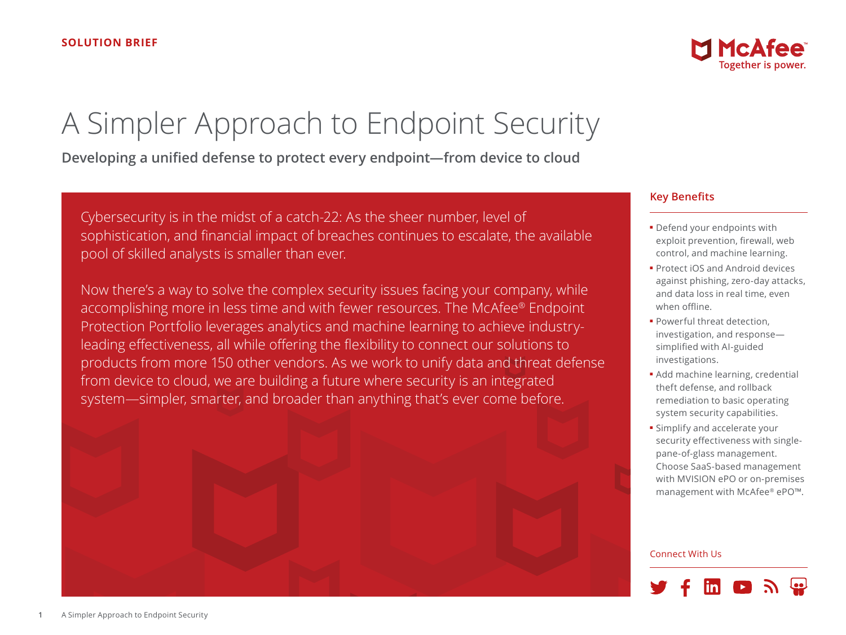# A Simpler Approach to Endpoint Security

**Developing a unified defense to protect every endpoint—from device to cloud**

Cybersecurity is in the midst of a catch-22: As the sheer number, level of sophistication, and financial impact of breaches continues to escalate, the available pool of skilled analysts is smaller than ever.

Now there's a way to solve the complex security issues facing your company, while accomplishing more in less time and with fewer resources. The McAfee® Endpoint Protection Portfolio leverages analytics and machine learning to achieve industryleading effectiveness, all while offering the flexibility to connect our solutions to products from more 150 other vendors. As we work to unify data and threat defense from device to cloud, we are building a future where security is an integrated system—simpler, smarter, and broader than anything that's ever come before.



## **Key Benefits**

- Defend your endpoints with exploit prevention, firewall, web control, and machine learning.
- Protect iOS and Android devices against phishing, zero-day attacks, and data loss in real time, even when offline.
- Powerful threat detection, investigation, and response simplified with AI-guided investigations.
- Add machine learning, credential theft defense, and rollback remediation to basic operating system security capabilities.
- Simplify and accelerate your security effectiveness with singlepane-of-glass management. Choose SaaS-based management with MVISION ePO or on-premises management with McAfee® ePO™.

#### Connect With Us

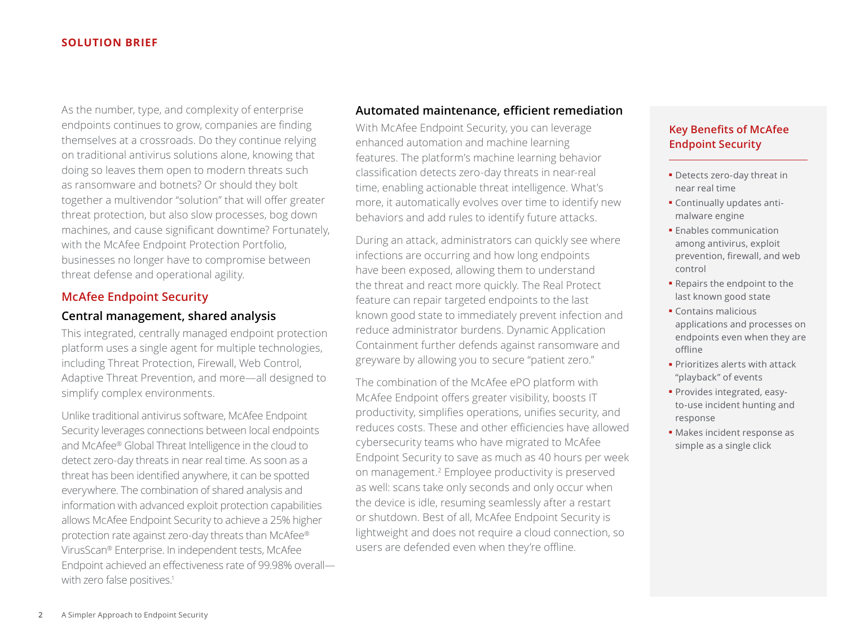#### **SOLUTION BRIEF**

As the number, type, and complexity of enterprise endpoints continues to grow, companies are finding themselves at a crossroads. Do they continue relying on traditional antivirus solutions alone, knowing that doing so leaves them open to modern threats such as ransomware and botnets? Or should they bolt together a multivendor "solution" that will offer greater threat protection, but also slow processes, bog down machines, and cause significant downtime? Fortunately, with the McAfee Endpoint Protection Portfolio, businesses no longer have to compromise between threat defense and operational agility.

# **McAfee Endpoint Security**

# **Central management, shared analysis**

This integrated, centrally managed endpoint protection platform uses a single agent for multiple technologies, including Threat Protection, Firewall, Web Control, Adaptive Threat Prevention, and more—all designed to simplify complex environments.

Unlike traditional antivirus software, McAfee Endpoint Security leverages connections between local endpoints and McAfee® Global Threat Intelligence in the cloud to detect zero-day threats in near real time. As soon as a threat has been identified anywhere, it can be spotted everywhere. The combination of shared analysis and information with advanced exploit protection capabilities allows McAfee Endpoint Security to achieve a 25% higher protection rate against zero-day threats than McAfee® VirusScan® Enterprise. In independent tests, McAfee Endpoint achieved an effectiveness rate of 99.98% overall with zero false positives.<sup>1</sup>

# **Automated maintenance, efficient remediation**

With McAfee Endpoint Security, you can leverage enhanced automation and machine learning features. The platform's machine learning behavior classification detects zero-day threats in near-real time, enabling actionable threat intelligence. What's more, it automatically evolves over time to identify new behaviors and add rules to identify future attacks.

During an attack, administrators can quickly see where infections are occurring and how long endpoints have been exposed, allowing them to understand the threat and react more quickly. The Real Protect feature can repair targeted endpoints to the last known good state to immediately prevent infection and reduce administrator burdens. Dynamic Application Containment further defends against ransomware and greyware by allowing you to secure "patient zero."

The combination of the McAfee ePO platform with McAfee Endpoint offers greater visibility, boosts IT productivity, simplifies operations, unifies security, and reduces costs. These and other efficiencies have allowed cybersecurity teams who have migrated to McAfee Endpoint Security to save as much as 40 hours per week on management.2 Employee productivity is preserved as well: scans take only seconds and only occur when the device is idle, resuming seamlessly after a restart or shutdown. Best of all, McAfee Endpoint Security is lightweight and does not require a cloud connection, so users are defended even when they're offline.

# **Key Benefits of McAfee Endpoint Security**

- Detects zero-day threat in near real time
- Continually updates antimalware engine
- Enables communication among antivirus, exploit prevention, firewall, and web control
- Repairs the endpoint to the last known good state
- Contains malicious applications and processes on endpoints even when they are offline
- Prioritizes alerts with attack "playback" of events
- Provides integrated, easyto-use incident hunting and response
- Makes incident response as simple as a single click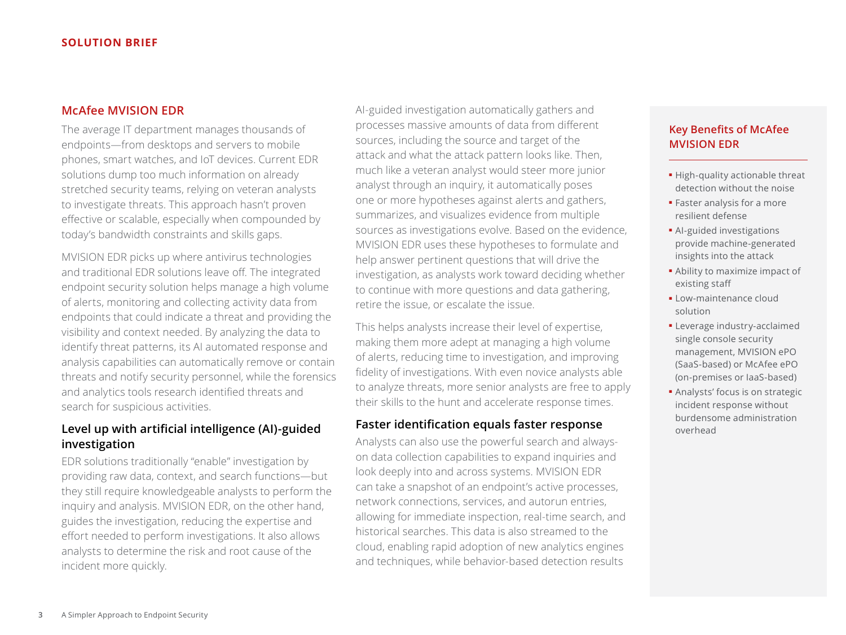# **McAfee MVISION EDR**

The average IT department manages thousands of endpoints—from desktops and servers to mobile phones, smart watches, and IoT devices. Current EDR solutions dump too much information on already stretched security teams, relying on veteran analysts to investigate threats. This approach hasn't proven effective or scalable, especially when compounded by today's bandwidth constraints and skills gaps.

MVISION EDR picks up where antivirus technologies and traditional EDR solutions leave off. The integrated endpoint security solution helps manage a high volume of alerts, monitoring and collecting activity data from endpoints that could indicate a threat and providing the visibility and context needed. By analyzing the data to identify threat patterns, its AI automated response and analysis capabilities can automatically remove or contain threats and notify security personnel, while the forensics and analytics tools research identified threats and search for suspicious activities.

# **Level up with artificial intelligence (AI)-guided investigation**

EDR solutions traditionally "enable" investigation by providing raw data, context, and search functions—but they still require knowledgeable analysts to perform the inquiry and analysis. MVISION EDR, on the other hand, guides the investigation, reducing the expertise and effort needed to perform investigations. It also allows analysts to determine the risk and root cause of the incident more quickly.

AI-guided investigation automatically gathers and processes massive amounts of data from different sources, including the source and target of the attack and what the attack pattern looks like. Then, much like a veteran analyst would steer more junior analyst through an inquiry, it automatically poses one or more hypotheses against alerts and gathers, summarizes, and visualizes evidence from multiple sources as investigations evolve. Based on the evidence, MVISION EDR uses these hypotheses to formulate and help answer pertinent questions that will drive the investigation, as analysts work toward deciding whether to continue with more questions and data gathering, retire the issue, or escalate the issue.

This helps analysts increase their level of expertise, making them more adept at managing a high volume of alerts, reducing time to investigation, and improving fidelity of investigations. With even novice analysts able to analyze threats, more senior analysts are free to apply their skills to the hunt and accelerate response times.

## **Faster identification equals faster response**

Analysts can also use the powerful search and alwayson data collection capabilities to expand inquiries and look deeply into and across systems. MVISION EDR can take a snapshot of an endpoint's active processes, network connections, services, and autorun entries, allowing for immediate inspection, real-time search, and historical searches. This data is also streamed to the cloud, enabling rapid adoption of new analytics engines and techniques, while behavior-based detection results

# **Key Benefits of McAfee MVISION EDR**

- High-quality actionable threat detection without the noise
- Faster analysis for a more resilient defense
- AI-guided investigations provide machine-generated insights into the attack
- Ability to maximize impact of existing staff
- Low-maintenance cloud solution
- Leverage industry-acclaimed single console security management, MVISION ePO (SaaS-based) or McAfee ePO (on-premises or IaaS-based)
- Analysts' focus is on strategic incident response without burdensome administration overhead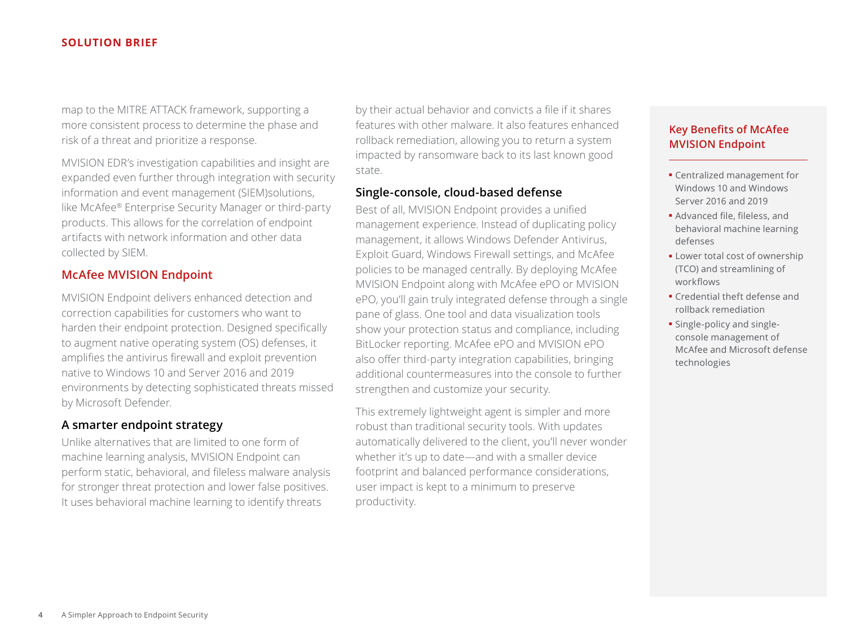#### **SOLUTION BRIEF**

map to the MITRE ATTACK framework, supporting a more consistent process to determine the phase and risk of a threat and prioritize a response.

MVISION EDR's investigation capabilities and insight are expanded even further through integration with security information and event management (SIEM)solutions, like McAfee® Enterprise Security Manager or third-party products. This allows for the correlation of endpoint artifacts with network information and other data collected by SIEM.

## **McAfee MVISION Endpoint**

MVISION Endpoint delivers enhanced detection and correction capabilities for customers who want to harden their endpoint protection. Designed specifically to augment native operating system (OS) defenses, it amplifies the antivirus firewall and exploit prevention native to Windows 10 and Server 2016 and 2019 environments by detecting sophisticated threats missed by Microsoft Defender.

#### **A smarter endpoint strategy**

Unlike alternatives that are limited to one form of machine learning analysis, MVISION Endpoint can perform static, behavioral, and fileless malware analysis for stronger threat protection and lower false positives. It uses behavioral machine learning to identify threats

by their actual behavior and convicts a file if it shares features with other malware. It also features enhanced rollback remediation, allowing you to return a system impacted by ransomware back to its last known good state.

# **Single-console, cloud-based defense**

Best of all, MVISION Endpoint provides a unified management experience. Instead of duplicating policy management, it allows Windows Defender Antivirus, Exploit Guard, Windows Firewall settings, and McAfee policies to be managed centrally. By deploying McAfee MVISION Endpoint along with McAfee ePO or MVISION ePO, you'll gain truly integrated defense through a single pane of glass. One tool and data visualization tools show your protection status and compliance, including BitLocker reporting. McAfee ePO and MVISION ePO also offer third-party integration capabilities, bringing additional countermeasures into the console to further strengthen and customize your security.

This extremely lightweight agent is simpler and more robust than traditional security tools. With updates automatically delivered to the client, you'll never wonder whether it's up to date—and with a smaller device footprint and balanced performance considerations, user impact is kept to a minimum to preserve productivity.

# **Key Benefits of McAfee MVISION Endpoint**

- Centralized management for Windows 10 and Windows Server 2016 and 2019
- Advanced file, fileless, and behavioral machine learning defenses
- Lower total cost of ownership (TCO) and streamlining of workflows
- Credential theft defense and rollback remediation
- Single-policy and singleconsole management of McAfee and Microsoft defense technologies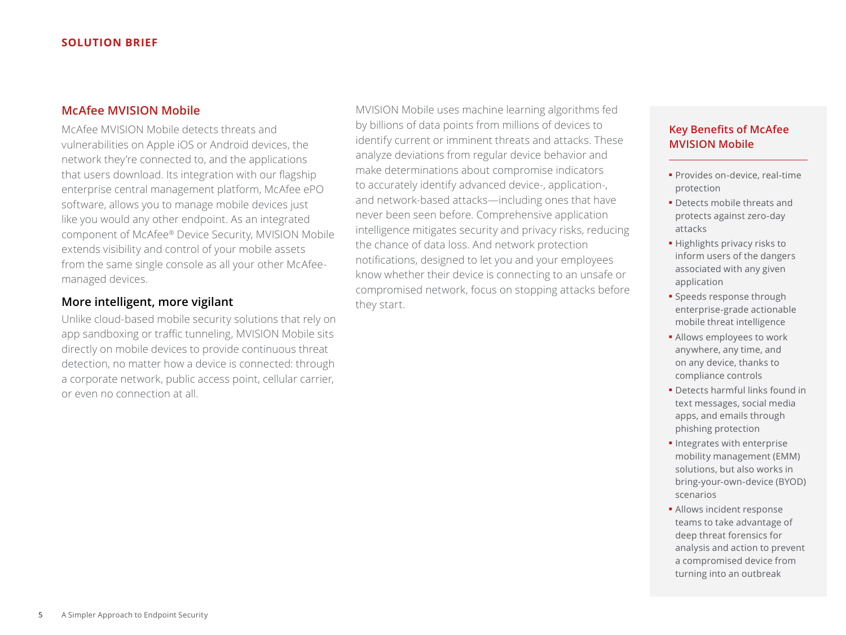# **McAfee MVISION Mobile**

McAfee MVISION Mobile detects threats and vulnerabilities on Apple iOS or Android devices, the network they're connected to, and the applications that users download. Its integration with our flagship enterprise central management platform, McAfee ePO software, allows you to manage mobile devices just like you would any other endpoint. As an integrated component of McAfee® Device Security, MVISION Mobile extends visibility and control of your mobile assets from the same single console as all your other McAfeemanaged devices.

# **More intelligent, more vigilant**

Unlike cloud-based mobile security solutions that rely on app sandboxing or traffic tunneling, MVISION Mobile sits directly on mobile devices to provide continuous threat detection, no matter how a device is connected: through a corporate network, public access point, cellular carrier, or even no connection at all.

MVISION Mobile uses machine learning algorithms fed by billions of data points from millions of devices to identify current or imminent threats and attacks. These analyze deviations from regular device behavior and make determinations about compromise indicators to accurately identify advanced device-, application-, and network-based attacks—including ones that have never been seen before. Comprehensive application intelligence mitigates security and privacy risks, reducing the chance of data loss. And network protection notifications, designed to let you and your employees know whether their device is connecting to an unsafe or compromised network, focus on stopping attacks before they start.

# **Key Benefits of McAfee MVISION Mobile**

- Provides on-device, real-time protection
- Detects mobile threats and protects against zero-day attacks
- Highlights privacy risks to inform users of the dangers associated with any given application
- Speeds response through enterprise-grade actionable mobile threat intelligence
- Allows employees to work anywhere, any time, and on any device, thanks to compliance controls
- Detects harmful links found in text messages, social media apps, and emails through phishing protection
- Integrates with enterprise mobility management (EMM) solutions, but also works in bring-your-own-device (BYOD) scenarios
- Allows incident response teams to take advantage of deep threat forensics for analysis and action to prevent a compromised device from turning into an outbreak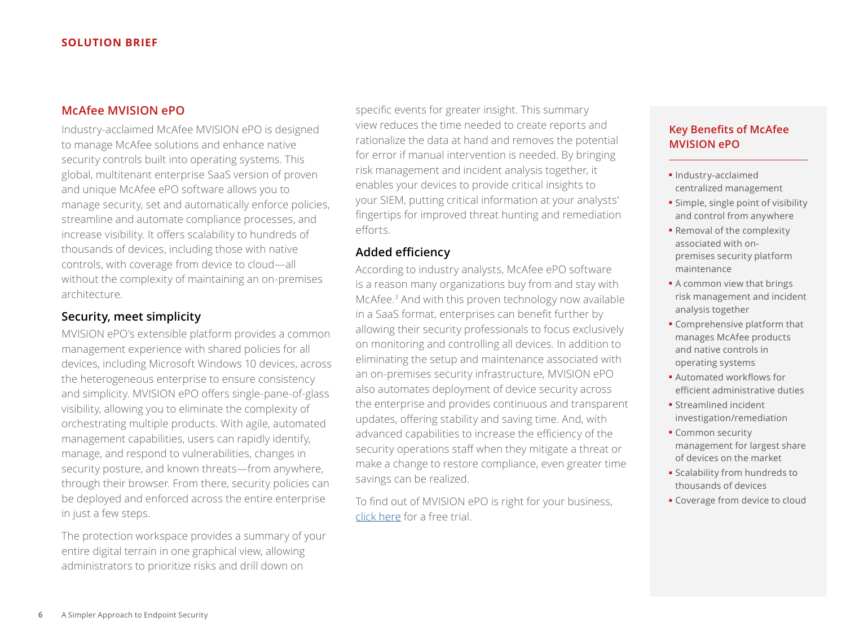# **McAfee MVISION ePO**

Industry-acclaimed McAfee MVISION ePO is designed to manage McAfee solutions and enhance native security controls built into operating systems. This global, multitenant enterprise SaaS version of proven and unique McAfee ePO software allows you to manage security, set and automatically enforce policies, streamline and automate compliance processes, and increase visibility. It offers scalability to hundreds of thousands of devices, including those with native controls, with coverage from device to cloud—all without the complexity of maintaining an on-premises architecture.

# **Security, meet simplicity**

MVISION ePO's extensible platform provides a common management experience with shared policies for all devices, including Microsoft Windows 10 devices, across the heterogeneous enterprise to ensure consistency and simplicity. MVISION ePO offers single-pane-of-glass visibility, allowing you to eliminate the complexity of orchestrating multiple products. With agile, automated management capabilities, users can rapidly identify, manage, and respond to vulnerabilities, changes in security posture, and known threats—from anywhere, through their browser. From there, security policies can be deployed and enforced across the entire enterprise in just a few steps.

The protection workspace provides a summary of your entire digital terrain in one graphical view, allowing administrators to prioritize risks and drill down on

specific events for greater insight. This summary view reduces the time needed to create reports and rationalize the data at hand and removes the potential for error if manual intervention is needed. By bringing risk management and incident analysis together, it enables your devices to provide critical insights to your SIEM, putting critical information at your analysts' fingertips for improved threat hunting and remediation efforts.

## **Added efficiency**

According to industry analysts, McAfee ePO software is a reason many organizations buy from and stay with McAfee.3 And with this proven technology now available in a SaaS format, enterprises can benefit further by allowing their security professionals to focus exclusively on monitoring and controlling all devices. In addition to eliminating the setup and maintenance associated with an on-premises security infrastructure, MVISION ePO also automates deployment of device security across the enterprise and provides continuous and transparent updates, offering stability and saving time. And, with advanced capabilities to increase the efficiency of the security operations staff when they mitigate a threat or make a change to restore compliance, even greater time savings can be realized.

To find out of MVISION ePO is right for your business, [click here](https://login.mcafee.com/v1/SignUp/en-US/MVISION/MVISIONEPO) for a free trial.

# **Key Benefits of McAfee MVISION ePO**

- Industry-acclaimed centralized management
- Simple, single point of visibility and control from anywhere
- Removal of the complexity associated with onpremises security platform maintenance
- A common view that brings risk management and incident analysis together
- Comprehensive platform that manages McAfee products and native controls in operating systems
- Automated workflows for efficient administrative duties
- Streamlined incident investigation/remediation
- Common security management for largest share of devices on the market
- Scalability from hundreds to thousands of devices
- Coverage from device to cloud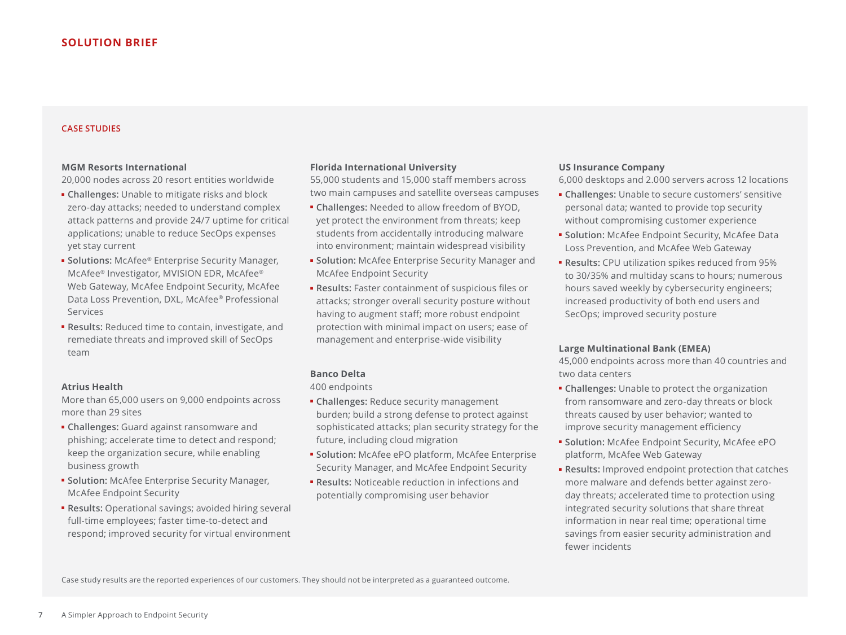#### **CASE STUDIES**

#### **MGM Resorts International**

20,000 nodes across 20 resort entities worldwide

- **Challenges:** Unable to mitigate risks and block zero-day attacks; needed to understand complex attack patterns and provide 24/7 uptime for critical applications; unable to reduce SecOps expenses yet stay current
- **Solutions:** McAfee® Enterprise Security Manager, McAfee® Investigator, MVISION EDR, McAfee® Web Gateway, McAfee Endpoint Security, McAfee Data Loss Prevention, DXL, McAfee® Professional Services
- **Results:** Reduced time to contain, investigate, and remediate threats and improved skill of SecOps team

#### **Atrius Health**

More than 65,000 users on 9,000 endpoints across more than 29 sites

- **Challenges:** Guard against ransomware and phishing; accelerate time to detect and respond; keep the organization secure, while enabling business growth
- **Solution:** McAfee Enterprise Security Manager, McAfee Endpoint Security
- **Results:** Operational savings; avoided hiring several full-time employees; faster time-to-detect and respond; improved security for virtual environment

#### **Florida International University**

55,000 students and 15,000 staff members across two main campuses and satellite overseas campuses

- **Challenges:** Needed to allow freedom of BYOD, yet protect the environment from threats; keep students from accidentally introducing malware into environment; maintain widespread visibility
- **Solution:** McAfee Enterprise Security Manager and McAfee Endpoint Security
- **Results:** Faster containment of suspicious files or attacks; stronger overall security posture without having to augment staff; more robust endpoint protection with minimal impact on users; ease of management and enterprise-wide visibility

#### **Banco Delta**

400 endpoints

- **Challenges:** Reduce security management burden; build a strong defense to protect against sophisticated attacks; plan security strategy for the future, including cloud migration
- **Solution:** McAfee ePO platform, McAfee Enterprise Security Manager, and McAfee Endpoint Security
- **Results:** Noticeable reduction in infections and potentially compromising user behavior

#### **US Insurance Company**

6,000 desktops and 2.000 servers across 12 locations

- **Challenges:** Unable to secure customers' sensitive personal data; wanted to provide top security without compromising customer experience
- **Solution:** McAfee Endpoint Security, McAfee Data Loss Prevention, and McAfee Web Gateway
- **Results:** CPU utilization spikes reduced from 95% to 30/35% and multiday scans to hours; numerous hours saved weekly by cybersecurity engineers; increased productivity of both end users and SecOps; improved security posture

#### **Large Multinational Bank (EMEA)**

45,000 endpoints across more than 40 countries and two data centers

- **Challenges:** Unable to protect the organization from ransomware and zero-day threats or block threats caused by user behavior; wanted to improve security management efficiency
- **Solution:** McAfee Endpoint Security, McAfee ePO platform, McAfee Web Gateway
- **Results:** Improved endpoint protection that catches more malware and defends better against zeroday threats; accelerated time to protection using integrated security solutions that share threat information in near real time; operational time savings from easier security administration and fewer incidents

Case study results are the reported experiences of our customers. They should not be interpreted as a guaranteed outcome.